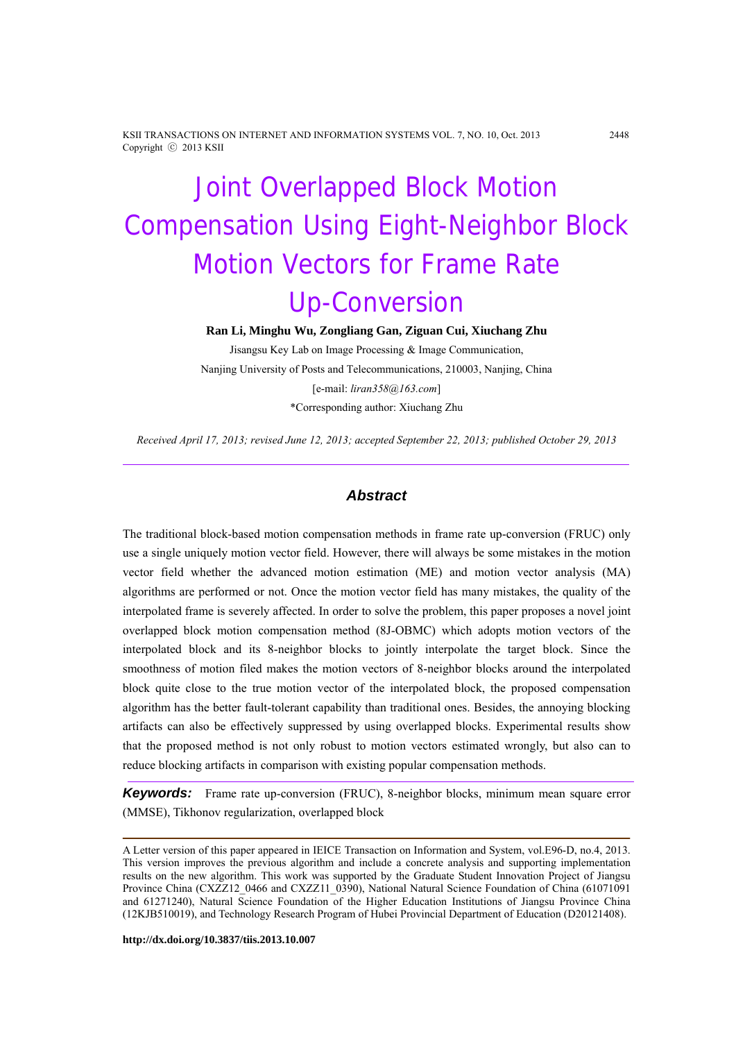KSII TRANSACTIONS ON INTERNET AND INFORMATION SYSTEMS VOL. 7, NO. 10, Oct. 2013 2448 Copyright ⓒ 2013 KSII

# Joint Overlapped Block Motion Compensation Using Eight-Neighbor Block Motion Vectors for Frame Rate Up-Conversion

**Ran Li, Minghu Wu, Zongliang Gan, Ziguan Cui, Xiuchang Zhu** 

Jisangsu Key Lab on Image Processing & Image Communication, Nanjing University of Posts and Telecommunications, 210003, Nanjing, China [e-mail: *liran358@163.com*] \*Corresponding author: Xiuchang Zhu

*Received April 17, 2013; revised June 12, 2013; accepted September 22, 2013; published October 29, 2013* 

## *Abstract*

The traditional block-based motion compensation methods in frame rate up-conversion (FRUC) only use a single uniquely motion vector field. However, there will always be some mistakes in the motion vector field whether the advanced motion estimation (ME) and motion vector analysis (MA) algorithms are performed or not. Once the motion vector field has many mistakes, the quality of the interpolated frame is severely affected. In order to solve the problem, this paper proposes a novel joint overlapped block motion compensation method (8J-OBMC) which adopts motion vectors of the interpolated block and its 8-neighbor blocks to jointly interpolate the target block. Since the smoothness of motion filed makes the motion vectors of 8-neighbor blocks around the interpolated block quite close to the true motion vector of the interpolated block, the proposed compensation algorithm has the better fault-tolerant capability than traditional ones. Besides, the annoying blocking artifacts can also be effectively suppressed by using overlapped blocks. Experimental results show that the proposed method is not only robust to motion vectors estimated wrongly, but also can to reduce blocking artifacts in comparison with existing popular compensation methods.

*Keywords:* Frame rate up-conversion (FRUC), 8-neighbor blocks, minimum mean square error (MMSE), Tikhonov regularization, overlapped block

**http://dx.doi.org/10.3837/tiis.2013.10.007**

A Letter version of this paper appeared in IEICE Transaction on Information and System, vol.E96-D, no.4, 2013. This version improves the previous algorithm and include a concrete analysis and supporting implementation results on the new algorithm. This work was supported by the Graduate Student Innovation Project of Jiangsu Province China (CXZZ12\_0466 and CXZZ11\_0390), National Natural Science Foundation of China (61071091 and 61271240), Natural Science Foundation of the Higher Education Institutions of Jiangsu Province China (12KJB510019), and Technology Research Program of Hubei Provincial Department of Education (D20121408).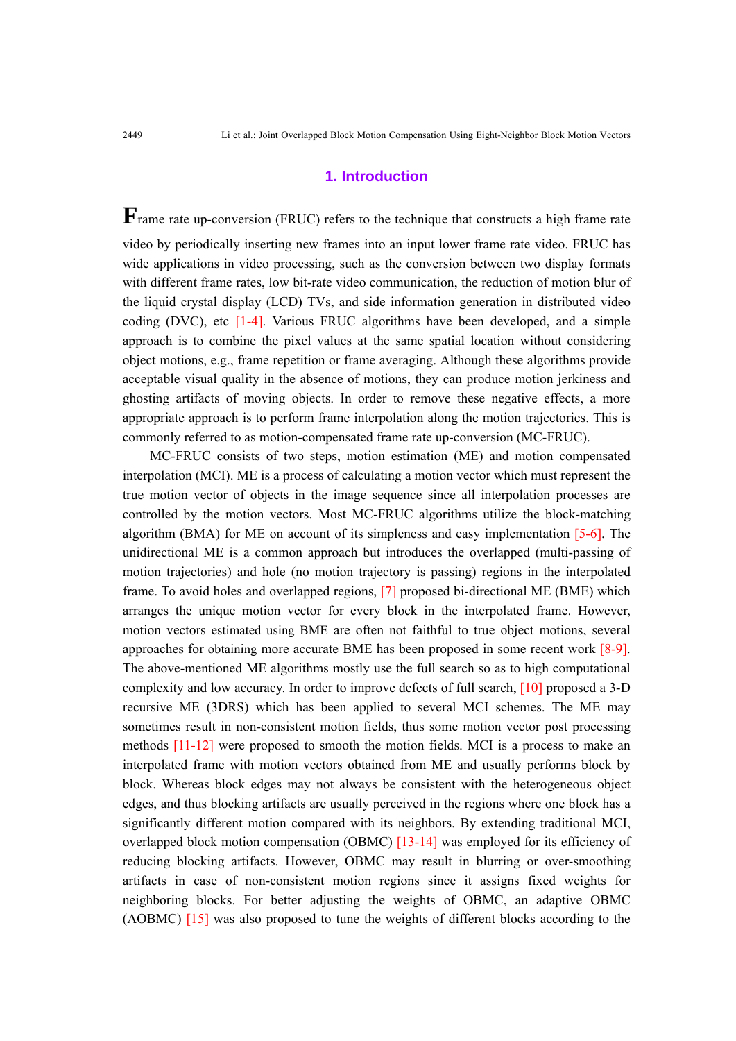# **1. Introduction**

**F**rame rate up-conversion (FRUC) refers to the technique that constructs a high frame rate video by periodically inserting new frames into an input lower frame rate video. FRUC has wide applications in video processing, such as the conversion between two display formats with different frame rates, low bit-rate video communication, the reduction of motion blur of the liquid crystal display (LCD) TVs, and side information generation in distributed video coding (DVC), etc [1-4]. Various FRUC algorithms have been developed, and a simple approach is to combine the pixel values at the same spatial location without considering object motions, e.g., frame repetition or frame averaging. Although these algorithms provide acceptable visual quality in the absence of motions, they can produce motion jerkiness and ghosting artifacts of moving objects. In order to remove these negative effects, a more appropriate approach is to perform frame interpolation along the motion trajectories. This is commonly referred to as motion-compensated frame rate up-conversion (MC-FRUC).

MC-FRUC consists of two steps, motion estimation (ME) and motion compensated interpolation (MCI). ME is a process of calculating a motion vector which must represent the true motion vector of objects in the image sequence since all interpolation processes are controlled by the motion vectors. Most MC-FRUC algorithms utilize the block-matching algorithm (BMA) for ME on account of its simpleness and easy implementation [5-6]. The unidirectional ME is a common approach but introduces the overlapped (multi-passing of motion trajectories) and hole (no motion trajectory is passing) regions in the interpolated frame. To avoid holes and overlapped regions, [7] proposed bi-directional ME (BME) which arranges the unique motion vector for every block in the interpolated frame. However, motion vectors estimated using BME are often not faithful to true object motions, several approaches for obtaining more accurate BME has been proposed in some recent work [8-9]. The above-mentioned ME algorithms mostly use the full search so as to high computational complexity and low accuracy. In order to improve defects of full search, [10] proposed a 3-D recursive ME (3DRS) which has been applied to several MCI schemes. The ME may sometimes result in non-consistent motion fields, thus some motion vector post processing methods [11-12] were proposed to smooth the motion fields. MCI is a process to make an interpolated frame with motion vectors obtained from ME and usually performs block by block. Whereas block edges may not always be consistent with the heterogeneous object edges, and thus blocking artifacts are usually perceived in the regions where one block has a significantly different motion compared with its neighbors. By extending traditional MCI, overlapped block motion compensation (OBMC) [13-14] was employed for its efficiency of reducing blocking artifacts. However, OBMC may result in blurring or over-smoothing artifacts in case of non-consistent motion regions since it assigns fixed weights for neighboring blocks. For better adjusting the weights of OBMC, an adaptive OBMC (AOBMC) [15] was also proposed to tune the weights of different blocks according to the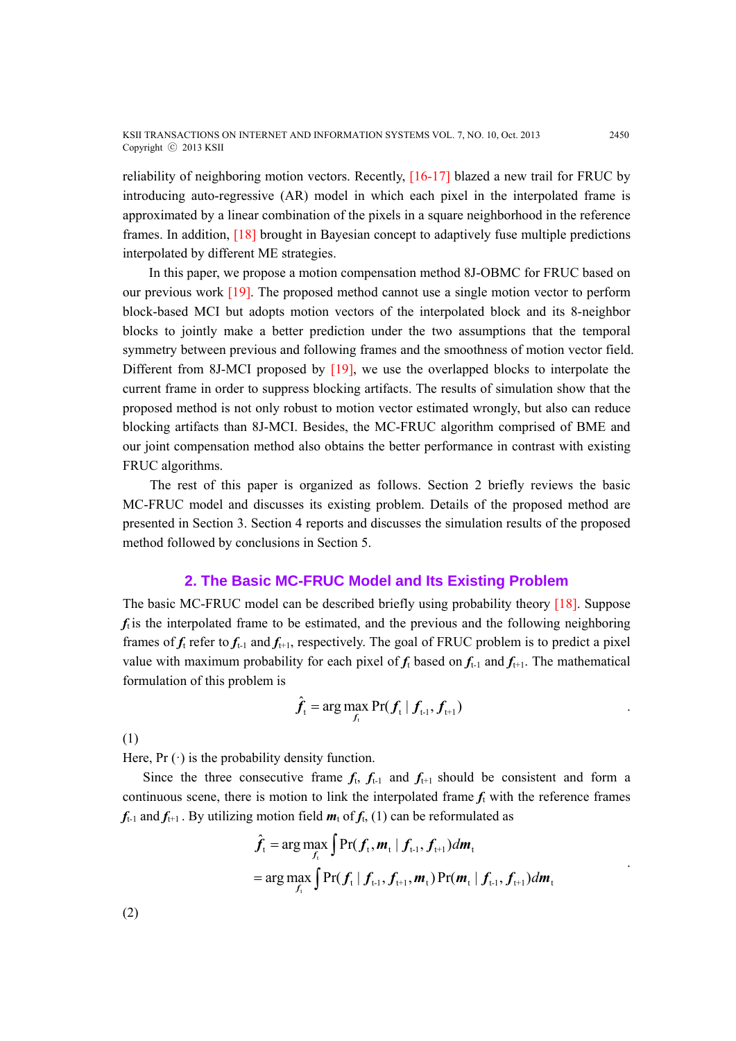reliability of neighboring motion vectors. Recently, [16-17] blazed a new trail for FRUC by introducing auto-regressive (AR) model in which each pixel in the interpolated frame is approximated by a linear combination of the pixels in a square neighborhood in the reference frames. In addition, [18] brought in Bayesian concept to adaptively fuse multiple predictions interpolated by different ME strategies.

 In this paper, we propose a motion compensation method 8J-OBMC for FRUC based on our previous work [19]. The proposed method cannot use a single motion vector to perform block-based MCI but adopts motion vectors of the interpolated block and its 8-neighbor blocks to jointly make a better prediction under the two assumptions that the temporal symmetry between previous and following frames and the smoothness of motion vector field. Different from 8J-MCI proposed by [19], we use the overlapped blocks to interpolate the current frame in order to suppress blocking artifacts. The results of simulation show that the proposed method is not only robust to motion vector estimated wrongly, but also can reduce blocking artifacts than 8J-MCI. Besides, the MC-FRUC algorithm comprised of BME and our joint compensation method also obtains the better performance in contrast with existing FRUC algorithms.

The rest of this paper is organized as follows. Section 2 briefly reviews the basic MC-FRUC model and discusses its existing problem. Details of the proposed method are presented in Section 3. Section 4 reports and discusses the simulation results of the proposed method followed by conclusions in Section 5.

# **2. The Basic MC-FRUC Model and Its Existing Problem**

The basic MC-FRUC model can be described briefly using probability theory [18]. Suppose  $f_t$  is the interpolated frame to be estimated, and the previous and the following neighboring frames of  $f_t$  refer to  $f_{t-1}$  and  $f_{t+1}$ , respectively. The goal of FRUC problem is to predict a pixel value with maximum probability for each pixel of  $f_t$  based on  $f_{t-1}$  and  $f_{t+1}$ . The mathematical formulation of this problem is

$$
\hat{\boldsymbol{f}}_{t} = \arg \max_{\boldsymbol{f}_{t}} \Pr(\boldsymbol{f}_{t} | \boldsymbol{f}_{t-1}, \boldsymbol{f}_{t+1})
$$

(1)

Here,  $Pr(\cdot)$  is the probability density function.

Since the three consecutive frame  $f_t$ ,  $f_{t-1}$  and  $f_{t+1}$  should be consistent and form a continuous scene, there is motion to link the interpolated frame  $f_t$  with the reference frames  $f_{t-1}$  and  $f_{t+1}$ . By utilizing motion field  $m_t$  of  $f_t$ , (1) can be reformulated as

$$
\hat{f}_t = \arg \max_{f_t} \int \Pr(f_t, m_t | f_{t-1}, f_{t+1}) dm_t
$$
\n
$$
= \arg \max_{f_t} \int \Pr(f_t | f_{t-1}, f_{t+1}, m_t) \Pr(m_t | f_{t-1}, f_{t+1}) dm_t
$$

(2)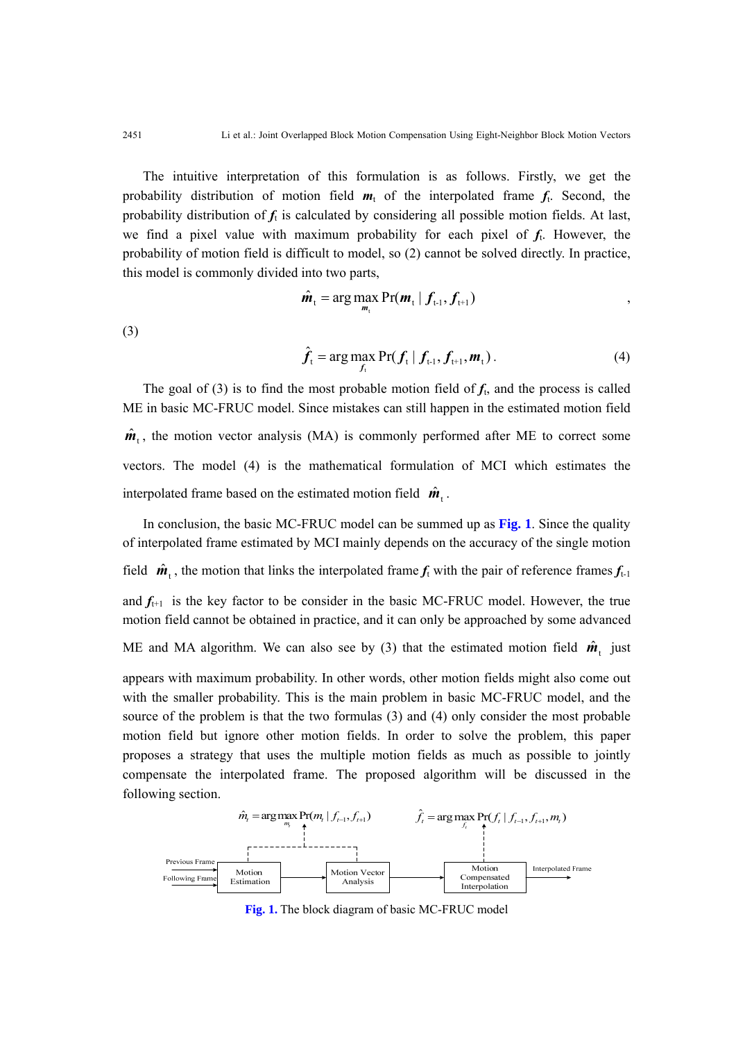The intuitive interpretation of this formulation is as follows. Firstly, we get the probability distribution of motion field  $m_t$  of the interpolated frame  $f_t$ . Second, the probability distribution of  $f_t$  is calculated by considering all possible motion fields. At last, we find a pixel value with maximum probability for each pixel of  $f_t$ . However, the probability of motion field is difficult to model, so (2) cannot be solved directly. In practice, this model is commonly divided into two parts,

$$
\hat{\boldsymbol{m}}_{t} = \arg\max_{\boldsymbol{m}_{t}} \Pr(\boldsymbol{m}_{t} | \boldsymbol{f}_{t-1}, \boldsymbol{f}_{t+1})
$$

(3)

$$
\hat{\boldsymbol{f}}_{t} = \arg \max_{\boldsymbol{f}_{t}} \Pr(\boldsymbol{f}_{t} | \boldsymbol{f}_{t-1}, \boldsymbol{f}_{t+1}, \boldsymbol{m}_{t}). \tag{4}
$$

The goal of (3) is to find the most probable motion field of  $f<sub>t</sub>$ , and the process is called ME in basic MC-FRUC model. Since mistakes can still happen in the estimated motion field  $\hat{\boldsymbol{m}}_t$ , the motion vector analysis (MA) is commonly performed after ME to correct some vectors. The model (4) is the mathematical formulation of MCI which estimates the interpolated frame based on the estimated motion field  $\hat{\boldsymbol{m}}_+$ .

In conclusion, the basic MC-FRUC model can be summed up as **Fig. 1**. Since the quality of interpolated frame estimated by MCI mainly depends on the accuracy of the single motion field  $\hat{\bm{m}}_t$ , the motion that links the interpolated frame  $f_t$  with the pair of reference frames  $f_{t-1}$ and  $f_{t+1}$  is the key factor to be consider in the basic MC-FRUC model. However, the true motion field cannot be obtained in practice, and it can only be approached by some advanced ME and MA algorithm. We can also see by (3) that the estimated motion field  $\hat{\mathbf{m}}_1$  just appears with maximum probability. In other words, other motion fields might also come out with the smaller probability. This is the main problem in basic MC-FRUC model, and the source of the problem is that the two formulas (3) and (4) only consider the most probable motion field but ignore other motion fields. In order to solve the problem, this paper proposes a strategy that uses the multiple motion fields as much as possible to jointly compensate the interpolated frame. The proposed algorithm will be discussed in the following section.



**Fig. 1.** The block diagram of basic MC-FRUC model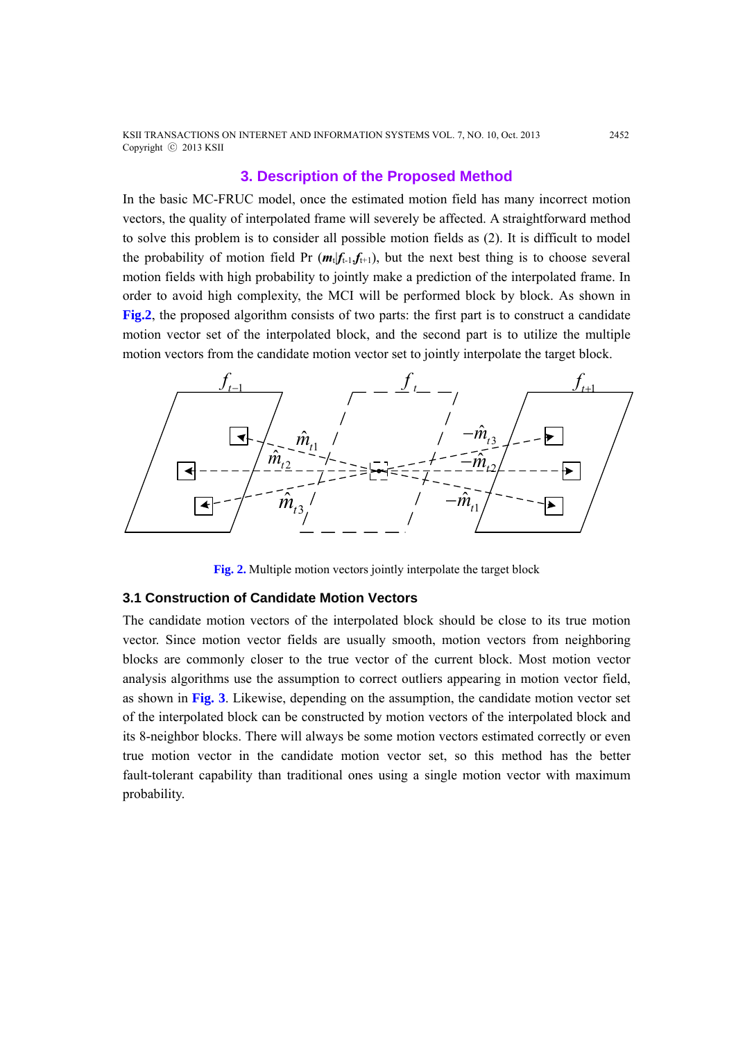KSII TRANSACTIONS ON INTERNET AND INFORMATION SYSTEMS VOL. 7, NO. 10, Oct. 2013 2452 Copyright ⓒ 2013 KSII

# **3. Description of the Proposed Method**

In the basic MC-FRUC model, once the estimated motion field has many incorrect motion vectors, the quality of interpolated frame will severely be affected. A straightforward method to solve this problem is to consider all possible motion fields as (2). It is difficult to model the probability of motion field Pr  $(m_t|f_{t-1},f_{t+1})$ , but the next best thing is to choose several motion fields with high probability to jointly make a prediction of the interpolated frame. In order to avoid high complexity, the MCI will be performed block by block. As shown in **Fig.2**, the proposed algorithm consists of two parts: the first part is to construct a candidate motion vector set of the interpolated block, and the second part is to utilize the multiple motion vectors from the candidate motion vector set to jointly interpolate the target block.



**Fig. 2.** Multiple motion vectors jointly interpolate the target block

## **3.1 Construction of Candidate Motion Vectors**

The candidate motion vectors of the interpolated block should be close to its true motion vector. Since motion vector fields are usually smooth, motion vectors from neighboring blocks are commonly closer to the true vector of the current block. Most motion vector analysis algorithms use the assumption to correct outliers appearing in motion vector field, as shown in **Fig. 3**. Likewise, depending on the assumption, the candidate motion vector set of the interpolated block can be constructed by motion vectors of the interpolated block and its 8-neighbor blocks. There will always be some motion vectors estimated correctly or even true motion vector in the candidate motion vector set, so this method has the better fault-tolerant capability than traditional ones using a single motion vector with maximum probability.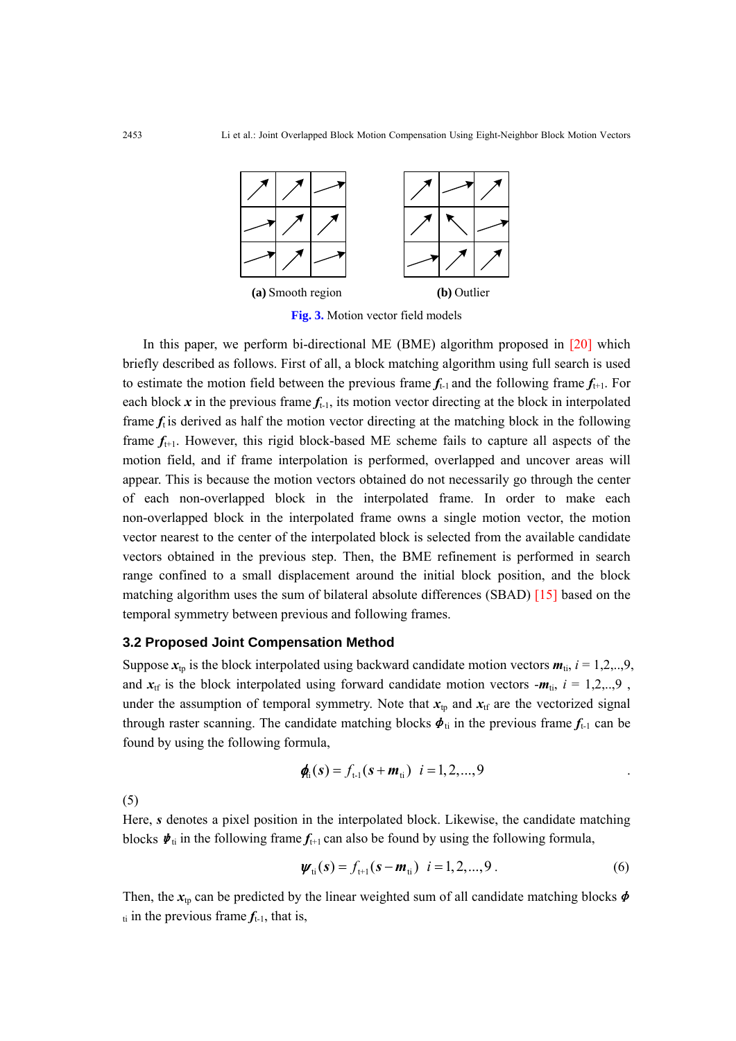

**Fig. 3.** Motion vector field models

In this paper, we perform bi-directional ME (BME) algorithm proposed in  $[20]$  which briefly described as follows. First of all, a block matching algorithm using full search is used to estimate the motion field between the previous frame  $f_{t-1}$  and the following frame  $f_{t+1}$ . For each block  $x$  in the previous frame  $f_{t-1}$ , its motion vector directing at the block in interpolated frame  $f_t$  is derived as half the motion vector directing at the matching block in the following frame  $f_{t+1}$ . However, this rigid block-based ME scheme fails to capture all aspects of the motion field, and if frame interpolation is performed, overlapped and uncover areas will appear. This is because the motion vectors obtained do not necessarily go through the center of each non-overlapped block in the interpolated frame. In order to make each non-overlapped block in the interpolated frame owns a single motion vector, the motion vector nearest to the center of the interpolated block is selected from the available candidate vectors obtained in the previous step. Then, the BME refinement is performed in search range confined to a small displacement around the initial block position, and the block matching algorithm uses the sum of bilateral absolute differences (SBAD) [15] based on the temporal symmetry between previous and following frames.

# **3.2 Proposed Joint Compensation Method**

Suppose  $x_{\text{tp}}$  is the block interpolated using backward candidate motion vectors  $m_{\text{ti}}$ ,  $i = 1,2,..,9$ , and  $x_{\text{tf}}$  is the block interpolated using forward candidate motion vectors  $-m_{\text{ti}}$ ,  $i = 1,2,..,9$ , under the assumption of temporal symmetry. Note that  $x_{tp}$  and  $x_{tf}$  are the vectorized signal through raster scanning. The candidate matching blocks  $\phi_{ti}$  in the previous frame  $f_{t-1}$  can be found by using the following formula,

$$
\phi_{ii}(\mathbf{s}) = f_{t-1}(\mathbf{s} + \mathbf{m}_{ti}) \quad i = 1, 2, ..., 9
$$

(5)

Here, *s* denotes a pixel position in the interpolated block. Likewise, the candidate matching blocks  $\psi_{ti}$  in the following frame  $f_{t+1}$  can also be found by using the following formula,

$$
\psi_{\text{ti}}(s) = f_{\text{t+1}}(s - \mathbf{m}_{\text{ti}}) \quad i = 1, 2, ..., 9 \tag{6}
$$

Then, the  $x_{tp}$  can be predicted by the linear weighted sum of all candidate matching blocks  $\phi$  $t_{ti}$  in the previous frame  $f_{t-1}$ , that is,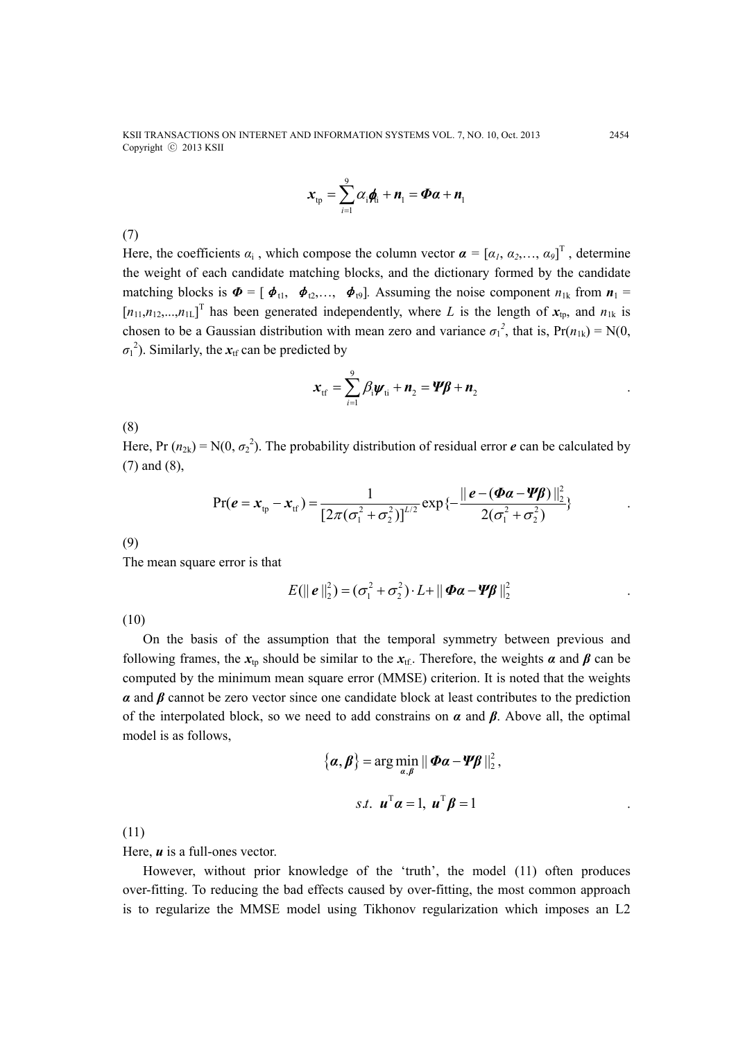KSII TRANSACTIONS ON INTERNET AND INFORMATION SYSTEMS VOL. 7, NO. 10, Oct. 2013 2454 Copyright ⓒ 2013 KSII

$$
\mathbf{x}_{\text{tp}} = \sum_{i=1}^{9} \alpha_i \mathbf{q}_i + \mathbf{n}_1 = \mathbf{\Phi} \mathbf{\alpha} + \mathbf{n}_1
$$

(7)

Here, the coefficients  $\alpha_i$ , which compose the column vector  $\boldsymbol{\alpha} = [\alpha_1, \alpha_2, \dots, \alpha_9]^T$ , determine the weight of each candidate matching blocks, and the dictionary formed by the candidate matching blocks is  $\boldsymbol{\Phi} = [\boldsymbol{\phi}_{t1}, \boldsymbol{\phi}_{t2}, \dots, \boldsymbol{\phi}_{t9}]$ . Assuming the noise component  $n_{1k}$  from  $n_1$  $[n_{11}, n_{12},...,n_{1L}]$ <sup>T</sup> has been generated independently, where *L* is the length of  $x_{tp}$ , and  $n_{1k}$  is chosen to be a Gaussian distribution with mean zero and variance  $\sigma_1^2$ , that is,  $Pr(n_{1k}) = N(0,$  $\sigma_1^2$ ). Similarly, the  $x_{\text{tf}}$  can be predicted by

$$
\mathbf{x}_{\text{tf}} = \sum_{i=1}^{9} \beta_i \mathbf{w}_{\text{ti}} + \mathbf{n}_2 = \mathbf{Y}\mathbf{\beta} + \mathbf{n}_2
$$

(8)

Here, Pr  $(n_{2k}) = N(0, \sigma_2^2)$ . The probability distribution of residual error *e* can be calculated by (7) and (8),

$$
Pr(e = x_{\text{tp}} - x_{\text{tf}}) = \frac{1}{[2\pi(\sigma_1^2 + \sigma_2^2)]^{1/2}} exp\{-\frac{\|e - (\Phi a - \Psi \beta)\|_2^2}{2(\sigma_1^2 + \sigma_2^2)}\}
$$

(9)

The mean square error is that

$$
E(||e||_2^2) = (\sigma_1^2 + \sigma_2^2) \cdot L + ||\boldsymbol{\Phi}\boldsymbol{\alpha} - \boldsymbol{\Psi}\boldsymbol{\beta}||_2^2
$$

(10)

On the basis of the assumption that the temporal symmetry between previous and following frames, the  $x_{\text{th}}$  should be similar to the  $x_{\text{th}}$ . Therefore, the weights *a* and *β* can be computed by the minimum mean square error (MMSE) criterion. It is noted that the weights *α* and *β* cannot be zero vector since one candidate block at least contributes to the prediction of the interpolated block, so we need to add constrains on *α* and *β*. Above all, the optimal model is as follows,

$$
\{\boldsymbol{\alpha},\boldsymbol{\beta}\} = \arg\min_{\boldsymbol{\alpha},\boldsymbol{\beta}} \|\boldsymbol{\Phi}\boldsymbol{\alpha} - \boldsymbol{\varPsi}\boldsymbol{\beta}\|_2^2,
$$
  
s.t.  $\boldsymbol{u}^{\mathrm{T}}\boldsymbol{\alpha} = 1$ ,  $\boldsymbol{u}^{\mathrm{T}}\boldsymbol{\beta} = 1$ 

(11)

Here, *u* is a full-ones vector.

However, without prior knowledge of the 'truth', the model (11) often produces over-fitting. To reducing the bad effects caused by over-fitting, the most common approach is to regularize the MMSE model using Tikhonov regularization which imposes an L2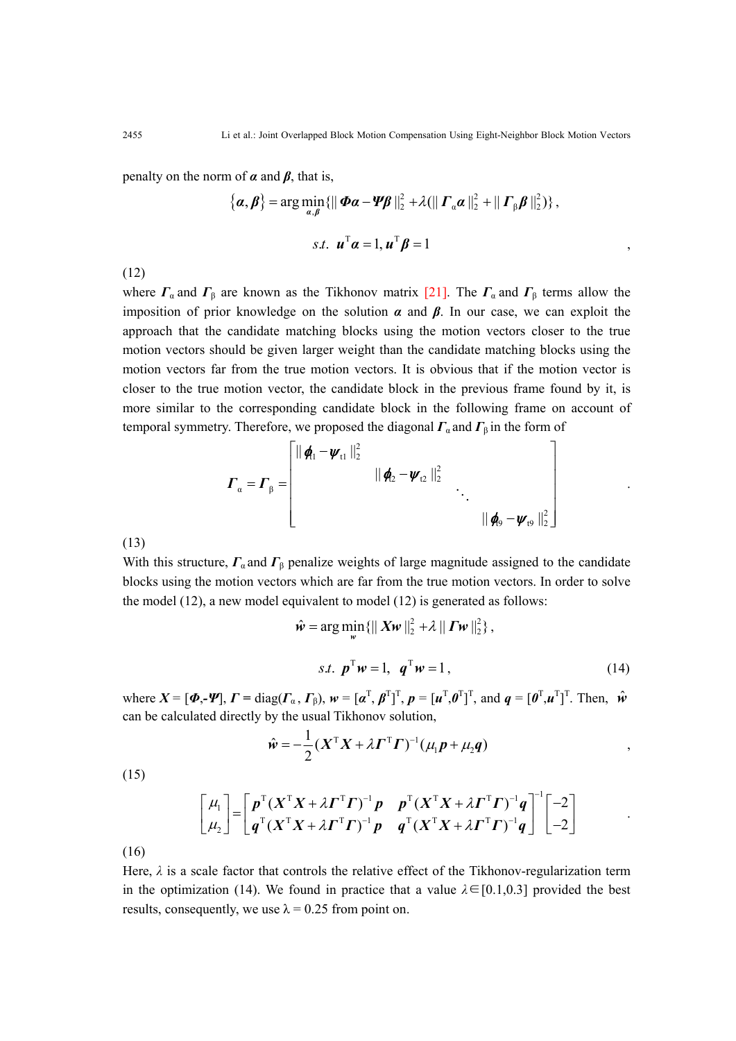penalty on the norm of  $\alpha$  and  $\beta$ , that is,

$$
\{\boldsymbol{\alpha},\boldsymbol{\beta}\}=\arg\min_{\boldsymbol{\alpha},\boldsymbol{\beta}}\{\|\boldsymbol{\Phi}\boldsymbol{\alpha}-\boldsymbol{\Psi}\boldsymbol{\beta}\|_{2}^{2}+\lambda(\|\boldsymbol{\varGamma}_{\boldsymbol{\alpha}}\boldsymbol{\alpha}\|_{2}^{2}+\|\boldsymbol{\varGamma}_{\boldsymbol{\beta}}\boldsymbol{\beta}\|_{2}^{2})\},
$$
  

$$
s.t. \boldsymbol{\mu}^{\mathrm{T}}\boldsymbol{\alpha}=1, \boldsymbol{\mu}^{\mathrm{T}}\boldsymbol{\beta}=1
$$

(12)

where  $\Gamma_{\alpha}$  and  $\Gamma_{\beta}$  are known as the Tikhonov matrix [21]. The  $\Gamma_{\alpha}$  and  $\Gamma_{\beta}$  terms allow the imposition of prior knowledge on the solution  $\alpha$  and  $\beta$ . In our case, we can exploit the approach that the candidate matching blocks using the motion vectors closer to the true motion vectors should be given larger weight than the candidate matching blocks using the motion vectors far from the true motion vectors. It is obvious that if the motion vector is closer to the true motion vector, the candidate block in the previous frame found by it, is more similar to the corresponding candidate block in the following frame on account of temporal symmetry. Therefore, we proposed the diagonal  $\Gamma_\alpha$  and  $\Gamma_\beta$  in the form of

$$
\boldsymbol{\varGamma}_{\alpha} = \boldsymbol{\varGamma}_{\beta} = \begin{bmatrix} ||\boldsymbol{\phi}_{11} - \boldsymbol{\psi}_{11}||_{2}^{2} & & \\ & ||\boldsymbol{\phi}_{2} - \boldsymbol{\psi}_{12}||_{2}^{2} & \\ & & \ddots & \\ & & & ||\boldsymbol{\phi}_{9} - \boldsymbol{\psi}_{19}||_{2}^{2} \end{bmatrix}
$$

(13)

With this structure,  $\Gamma_a$  and  $\Gamma_b$  penalize weights of large magnitude assigned to the candidate blocks using the motion vectors which are far from the true motion vectors. In order to solve the model (12), a new model equivalent to model (12) is generated as follows:

$$
\hat{\mathbf{w}} = \arg\min_{\mathbf{w}} \{ || \mathbf{X}\mathbf{w} ||_2^2 + \lambda || \mathbf{\Gamma}\mathbf{w} ||_2^2 \},
$$
  
s.t. 
$$
\mathbf{p}^{\mathrm{T}}\mathbf{w} = 1, \quad \mathbf{q}^{\mathrm{T}}\mathbf{w} = 1,
$$
 (14)

.

where  $X = [\boldsymbol{\Phi}, \boldsymbol{\Psi}], \Gamma = \text{diag}(\boldsymbol{\Gamma}_{\alpha}, \boldsymbol{\Gamma}_{\beta}), \boldsymbol{w} = [\boldsymbol{\alpha}^{T}, \boldsymbol{\beta}^{T}]^{T}, \boldsymbol{p} = [\boldsymbol{u}^{T}, \boldsymbol{\theta}^{T}]^{T}$ , and  $\boldsymbol{q} = [\boldsymbol{\theta}^{T}, \boldsymbol{u}^{T}]^{T}$ . Then,  $\hat{\boldsymbol{w}}$ can be calculated directly by the usual Tikhonov solution,

$$
\hat{\mathbf{w}} = -\frac{1}{2} (\mathbf{X}^{\mathrm{T}} \mathbf{X} + \lambda \boldsymbol{\Gamma}^{\mathrm{T}} \boldsymbol{\Gamma})^{-1} (\mu_1 \boldsymbol{p} + \mu_2 \boldsymbol{q}) ,
$$

(15)

$$
\begin{bmatrix} \mu_1 \\ \mu_2 \end{bmatrix} = \begin{bmatrix} p^{\mathrm{T}} (X^{\mathrm{T}} X + \lambda \boldsymbol{\Gamma}^{\mathrm{T}} \boldsymbol{\Gamma})^{-1} p & p^{\mathrm{T}} (X^{\mathrm{T}} X + \lambda \boldsymbol{\Gamma}^{\mathrm{T}} \boldsymbol{\Gamma})^{-1} q \\ q^{\mathrm{T}} (X^{\mathrm{T}} X + \lambda \boldsymbol{\Gamma}^{\mathrm{T}} \boldsymbol{\Gamma})^{-1} p & q^{\mathrm{T}} (X^{\mathrm{T}} X + \lambda \boldsymbol{\Gamma}^{\mathrm{T}} \boldsymbol{\Gamma})^{-1} q \end{bmatrix}^{-1} \begin{bmatrix} -2 \\ -2 \end{bmatrix}
$$

(16)

Here,  $\lambda$  is a scale factor that controls the relative effect of the Tikhonov-regularization term in the optimization (14). We found in practice that a value  $\lambda \in [0.1, 0.3]$  provided the best results, consequently, we use  $\lambda = 0.25$  from point on.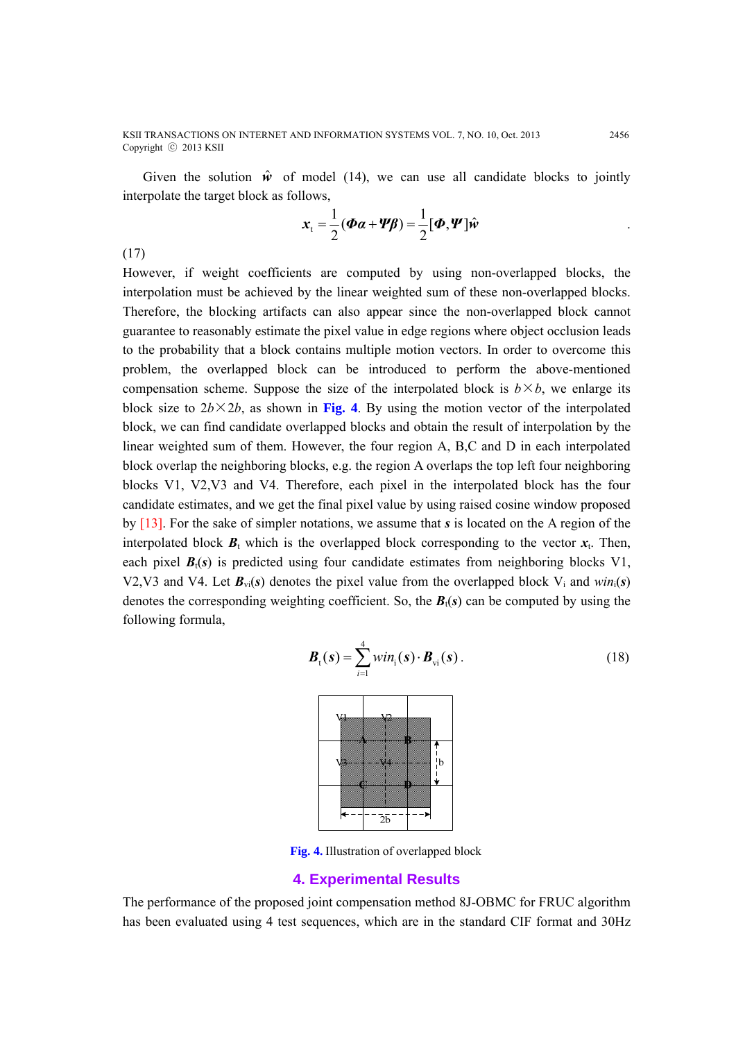Given the solution  $\hat{w}$  of model (14), we can use all candidate blocks to jointly interpolate the target block as follows,

$$
\mathbf{x}_{t} = \frac{1}{2}(\boldsymbol{\Phi}\boldsymbol{\alpha} + \boldsymbol{\Psi}\boldsymbol{\beta}) = \frac{1}{2}[\boldsymbol{\Phi}, \boldsymbol{\Psi}]\hat{\boldsymbol{\psi}}
$$

(17)

However, if weight coefficients are computed by using non-overlapped blocks, the interpolation must be achieved by the linear weighted sum of these non-overlapped blocks. Therefore, the blocking artifacts can also appear since the non-overlapped block cannot guarantee to reasonably estimate the pixel value in edge regions where object occlusion leads to the probability that a block contains multiple motion vectors. In order to overcome this problem, the overlapped block can be introduced to perform the above-mentioned compensation scheme. Suppose the size of the interpolated block is  $b \times b$ , we enlarge its block size to  $2b \times 2b$ , as shown in Fig. 4. By using the motion vector of the interpolated block, we can find candidate overlapped blocks and obtain the result of interpolation by the linear weighted sum of them. However, the four region A, B,C and D in each interpolated block overlap the neighboring blocks, e.g. the region A overlaps the top left four neighboring blocks V1, V2,V3 and V4. Therefore, each pixel in the interpolated block has the four candidate estimates, and we get the final pixel value by using raised cosine window proposed by [13]. For the sake of simpler notations, we assume that *s* is located on the A region of the interpolated block  $B_t$  which is the overlapped block corresponding to the vector  $x_t$ . Then, each pixel  $B_t(s)$  is predicted using four candidate estimates from neighboring blocks V1, V2, V3 and V4. Let  $B_{\nu i}(s)$  denotes the pixel value from the overlapped block V<sub>i</sub> and  $win_i(s)$ denotes the corresponding weighting coefficient. So, the  $B_t(s)$  can be computed by using the following formula,

$$
\boldsymbol{B}_{t}(\boldsymbol{s}) = \sum_{i=1}^{4} \boldsymbol{win}_{i}(\boldsymbol{s}) \cdot \boldsymbol{B}_{vi}(\boldsymbol{s}) . \qquad (18)
$$



**Fig. 4.** Illustration of overlapped block

#### **4. Experimental Results**

The performance of the proposed joint compensation method 8J-OBMC for FRUC algorithm has been evaluated using 4 test sequences, which are in the standard CIF format and 30Hz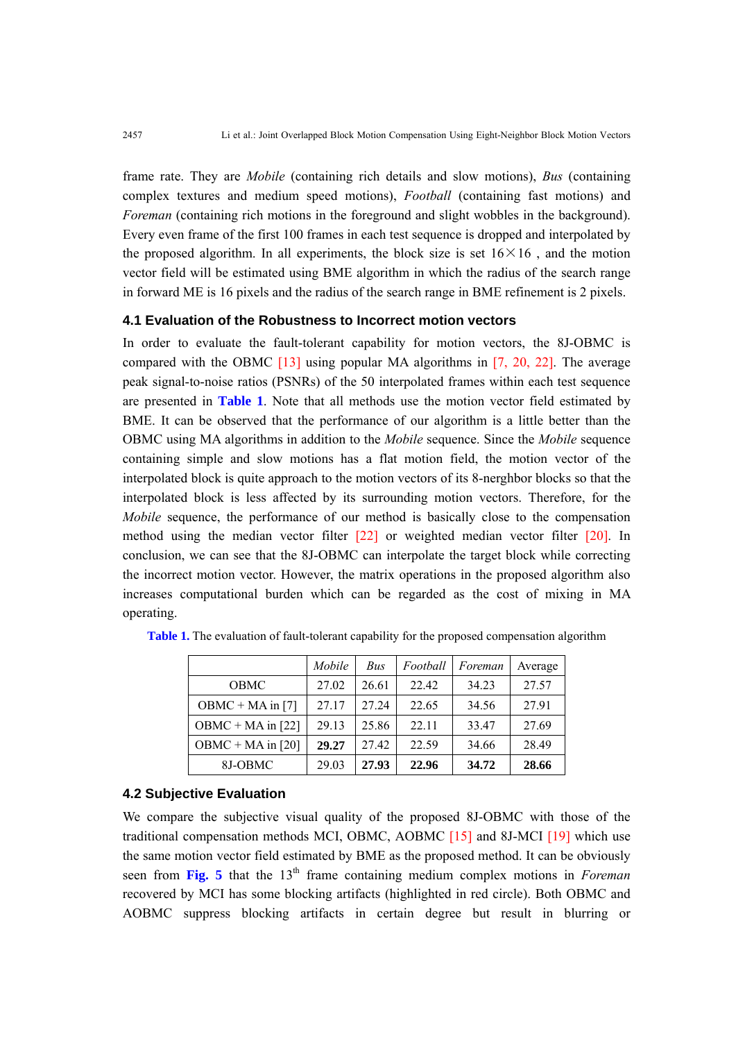frame rate. They are *Mobile* (containing rich details and slow motions), *Bus* (containing complex textures and medium speed motions), *Football* (containing fast motions) and *Foreman* (containing rich motions in the foreground and slight wobbles in the background). Every even frame of the first 100 frames in each test sequence is dropped and interpolated by the proposed algorithm. In all experiments, the block size is set  $16\times16$ , and the motion vector field will be estimated using BME algorithm in which the radius of the search range in forward ME is 16 pixels and the radius of the search range in BME refinement is 2 pixels.

## **4.1 Evaluation of the Robustness to Incorrect motion vectors**

In order to evaluate the fault-tolerant capability for motion vectors, the 8J-OBMC is compared with the OBMC [13] using popular MA algorithms in [7, 20, 22]. The average peak signal-to-noise ratios (PSNRs) of the 50 interpolated frames within each test sequence are presented in **Table 1**. Note that all methods use the motion vector field estimated by BME. It can be observed that the performance of our algorithm is a little better than the OBMC using MA algorithms in addition to the *Mobile* sequence. Since the *Mobile* sequence containing simple and slow motions has a flat motion field, the motion vector of the interpolated block is quite approach to the motion vectors of its 8-nerghbor blocks so that the interpolated block is less affected by its surrounding motion vectors. Therefore, for the *Mobile* sequence, the performance of our method is basically close to the compensation method using the median vector filter [22] or weighted median vector filter [20]. In conclusion, we can see that the 8J-OBMC can interpolate the target block while correcting the incorrect motion vector. However, the matrix operations in the proposed algorithm also increases computational burden which can be regarded as the cost of mixing in MA operating.

|                     | Mobile | Bus   | Football | Foreman | Average |
|---------------------|--------|-------|----------|---------|---------|
| OBMC                | 27.02  | 26.61 | 22.42    | 34.23   | 27.57   |
| $OBMC + MA$ in [7]  | 27 17  | 27 24 | 22.65    | 34.56   | 2791    |
| $OBMC + MA$ in [22] | 29.13  | 25.86 | 22.11    | 33.47   | 27.69   |
| OBMC + MA in $[20]$ | 29.27  | 27.42 | 22.59    | 34.66   | 28.49   |
| 8J-OBMC             | 29.03  | 27.93 | 22.96    | 34.72   | 28.66   |

**Table 1.** The evaluation of fault-tolerant capability for the proposed compensation algorithm

# **4.2 Subjective Evaluation**

We compare the subjective visual quality of the proposed 8J-OBMC with those of the traditional compensation methods MCI, OBMC, AOBMC [15] and 8J-MCI [19] which use the same motion vector field estimated by BME as the proposed method. It can be obviously seen from **Fig. 5** that the 13<sup>th</sup> frame containing medium complex motions in *Foreman* recovered by MCI has some blocking artifacts (highlighted in red circle). Both OBMC and AOBMC suppress blocking artifacts in certain degree but result in blurring or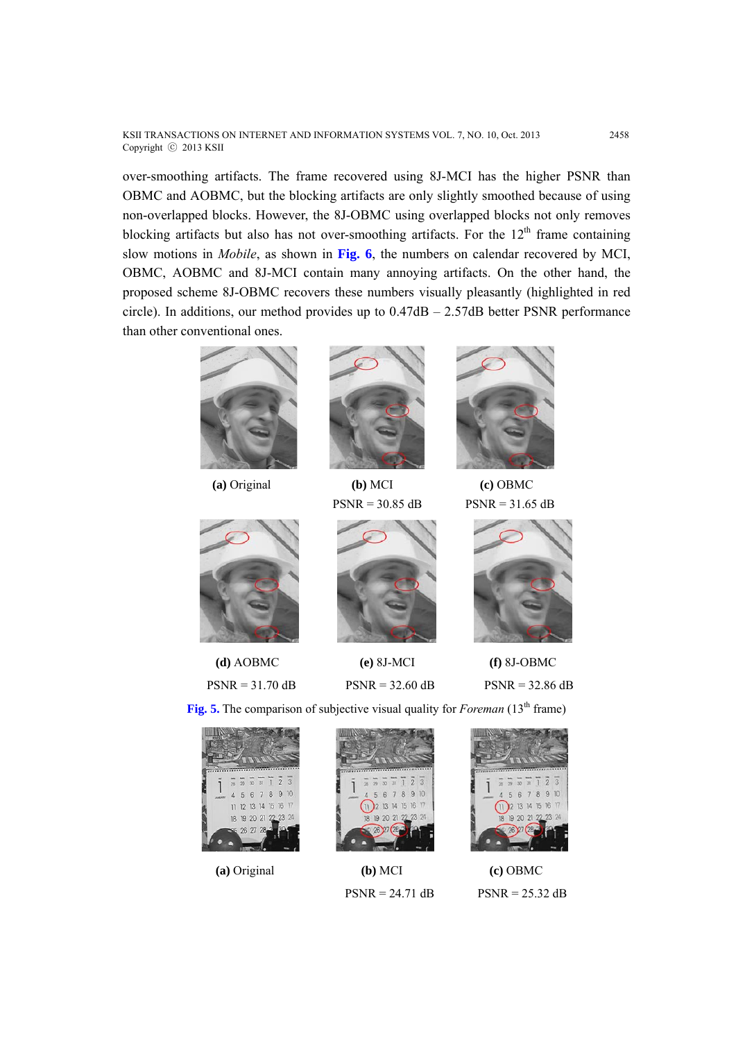KSII TRANSACTIONS ON INTERNET AND INFORMATION SYSTEMS VOL. 7, NO. 10, Oct. 2013 2458 Copyright ⓒ 2013 KSII

over-smoothing artifacts. The frame recovered using 8J-MCI has the higher PSNR than OBMC and AOBMC, but the blocking artifacts are only slightly smoothed because of using non-overlapped blocks. However, the 8J-OBMC using overlapped blocks not only removes blocking artifacts but also has not over-smoothing artifacts. For the  $12<sup>th</sup>$  frame containing slow motions in *Mobile*, as shown in **Fig. 6**, the numbers on calendar recovered by MCI, OBMC, AOBMC and 8J-MCI contain many annoying artifacts. On the other hand, the proposed scheme 8J-OBMC recovers these numbers visually pleasantly (highlighted in red circle). In additions, our method provides up to  $0.47dB - 2.57dB$  better PSNR performance than other conventional ones.







 **(a)** Original **(b)** MCI **(c)** OBMC







**(d)** AOBMC **(e)** 8J-MCI **(f)** 8J-OBMC



 $PSNR = 31.70$  dB  $PSNR = 32.60$  dB  $PSNR = 32.86$  dB

**Fig. 5.** The comparison of subjective visual quality for *Foreman* (13<sup>th</sup> frame)





 **(a)** Original **(b)** MCI **(c)** OBMC  $PSNR = 24.71$  dB  $PSNR = 25.32$  dB

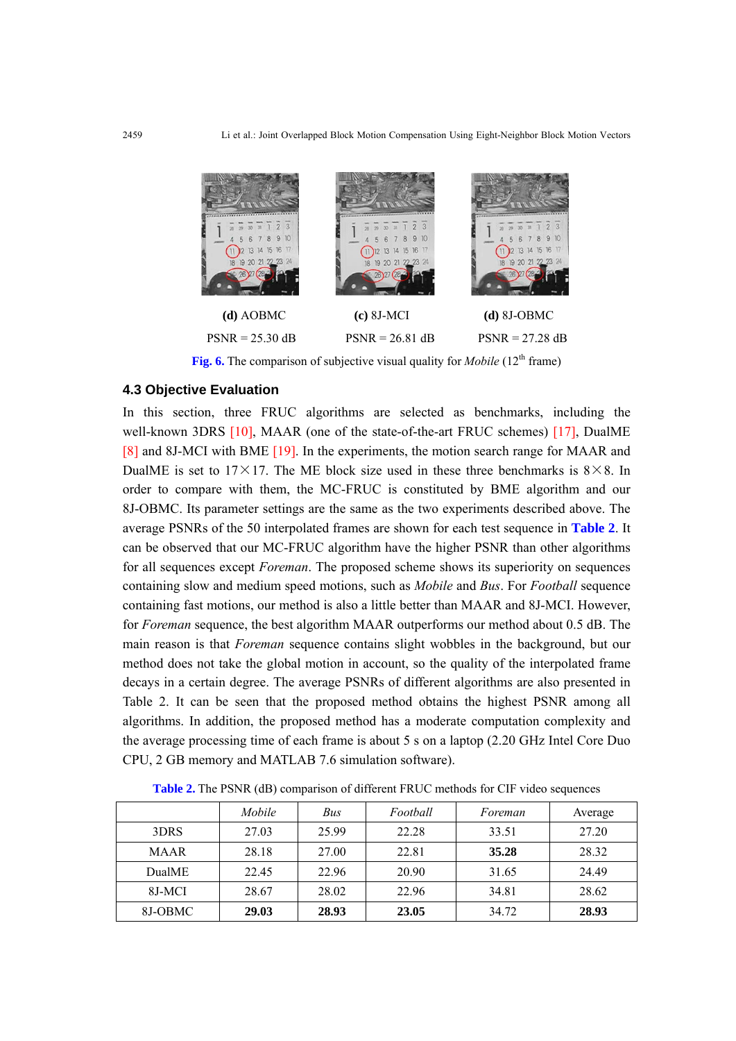

**Fig. 6.** The comparison of subjective visual quality for *Mobile* (12<sup>th</sup> frame)

# **4.3 Objective Evaluation**

In this section, three FRUC algorithms are selected as benchmarks, including the well-known 3DRS [10], MAAR (one of the state-of-the-art FRUC schemes) [17], DualME [8] and 8J-MCI with BME [19]. In the experiments, the motion search range for MAAR and DualME is set to 17 $\times$ 17. The ME block size used in these three benchmarks is 8 $\times$ 8. In order to compare with them, the MC-FRUC is constituted by BME algorithm and our 8J-OBMC. Its parameter settings are the same as the two experiments described above. The average PSNRs of the 50 interpolated frames are shown for each test sequence in **Table 2**. It can be observed that our MC-FRUC algorithm have the higher PSNR than other algorithms for all sequences except *Foreman*. The proposed scheme shows its superiority on sequences containing slow and medium speed motions, such as *Mobile* and *Bus*. For *Football* sequence containing fast motions, our method is also a little better than MAAR and 8J-MCI. However, for *Foreman* sequence, the best algorithm MAAR outperforms our method about 0.5 dB. The main reason is that *Foreman* sequence contains slight wobbles in the background, but our method does not take the global motion in account, so the quality of the interpolated frame decays in a certain degree. The average PSNRs of different algorithms are also presented in Table 2. It can be seen that the proposed method obtains the highest PSNR among all algorithms. In addition, the proposed method has a moderate computation complexity and the average processing time of each frame is about 5 s on a laptop (2.20 GHz Intel Core Duo CPU, 2 GB memory and MATLAB 7.6 simulation software).

|               | Mobile | Bus   | Football | Foreman | Average |
|---------------|--------|-------|----------|---------|---------|
| 3DRS          | 27.03  | 25.99 | 22.28    | 33.51   | 27.20   |
| <b>MAAR</b>   | 28.18  | 27.00 | 22.81    | 35.28   | 28.32   |
| <b>DualME</b> | 22.45  | 22.96 | 20.90    | 31.65   | 24.49   |
| 8J-MCI        | 28.67  | 28.02 | 22.96    | 34.81   | 28.62   |
| 8J-OBMC       | 29.03  | 28.93 | 23.05    | 34.72   | 28.93   |

**Table 2.** The PSNR (dB) comparison of different FRUC methods for CIF video sequences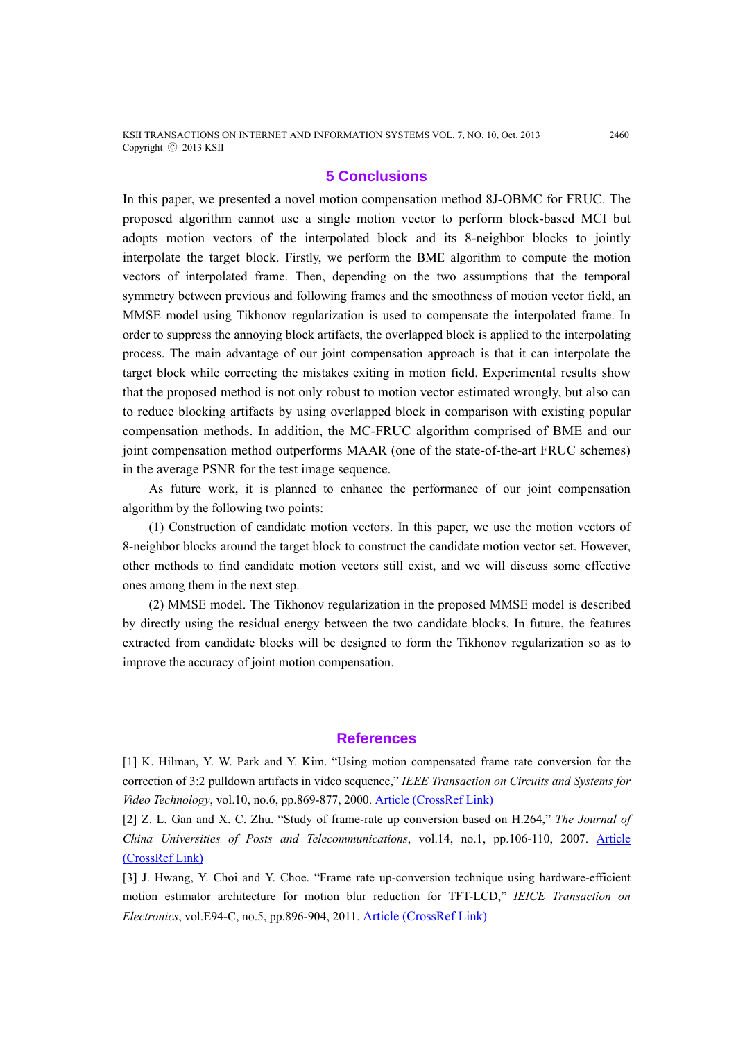## **5 Conclusions**

In this paper, we presented a novel motion compensation method 8J-OBMC for FRUC. The proposed algorithm cannot use a single motion vector to perform block-based MCI but adopts motion vectors of the interpolated block and its 8-neighbor blocks to jointly interpolate the target block. Firstly, we perform the BME algorithm to compute the motion vectors of interpolated frame. Then, depending on the two assumptions that the temporal symmetry between previous and following frames and the smoothness of motion vector field, an MMSE model using Tikhonov regularization is used to compensate the interpolated frame. In order to suppress the annoying block artifacts, the overlapped block is applied to the interpolating process. The main advantage of our joint compensation approach is that it can interpolate the target block while correcting the mistakes exiting in motion field. Experimental results show that the proposed method is not only robust to motion vector estimated wrongly, but also can to reduce blocking artifacts by using overlapped block in comparison with existing popular compensation methods. In addition, the MC-FRUC algorithm comprised of BME and our joint compensation method outperforms MAAR (one of the state-of-the-art FRUC schemes) in the average PSNR for the test image sequence.

As future work, it is planned to enhance the performance of our joint compensation algorithm by the following two points:

(1) Construction of candidate motion vectors. In this paper, we use the motion vectors of 8-neighbor blocks around the target block to construct the candidate motion vector set. However, other methods to find candidate motion vectors still exist, and we will discuss some effective ones among them in the next step.

(2) MMSE model. The Tikhonov regularization in the proposed MMSE model is described by directly using the residual energy between the two candidate blocks. In future, the features extracted from candidate blocks will be designed to form the Tikhonov regularization so as to improve the accuracy of joint motion compensation.

#### **References**

[1] K. Hilman, Y. W. Park and Y. Kim. "Using motion compensated frame rate conversion for the correction of 3:2 pulldown artifacts in video sequence," *IEEE Transaction on Circuits and Systems for Video Technology*, vol.10, no.6, pp.869-877, 2000. Article (CrossRef Link)

[2] Z. L. Gan and X. C. Zhu. "Study of frame-rate up conversion based on H.264," *The Journal of China Universities of Posts and Telecommunications*, vol.14, no.1, pp.106-110, 2007. Article (CrossRef Link)

[3] J. Hwang, Y. Choi and Y. Choe. "Frame rate up-conversion technique using hardware-efficient motion estimator architecture for motion blur reduction for TFT-LCD," *IEICE Transaction on Electronics*, vol.E94-C, no.5, pp.896-904, 2011. Article (CrossRef Link)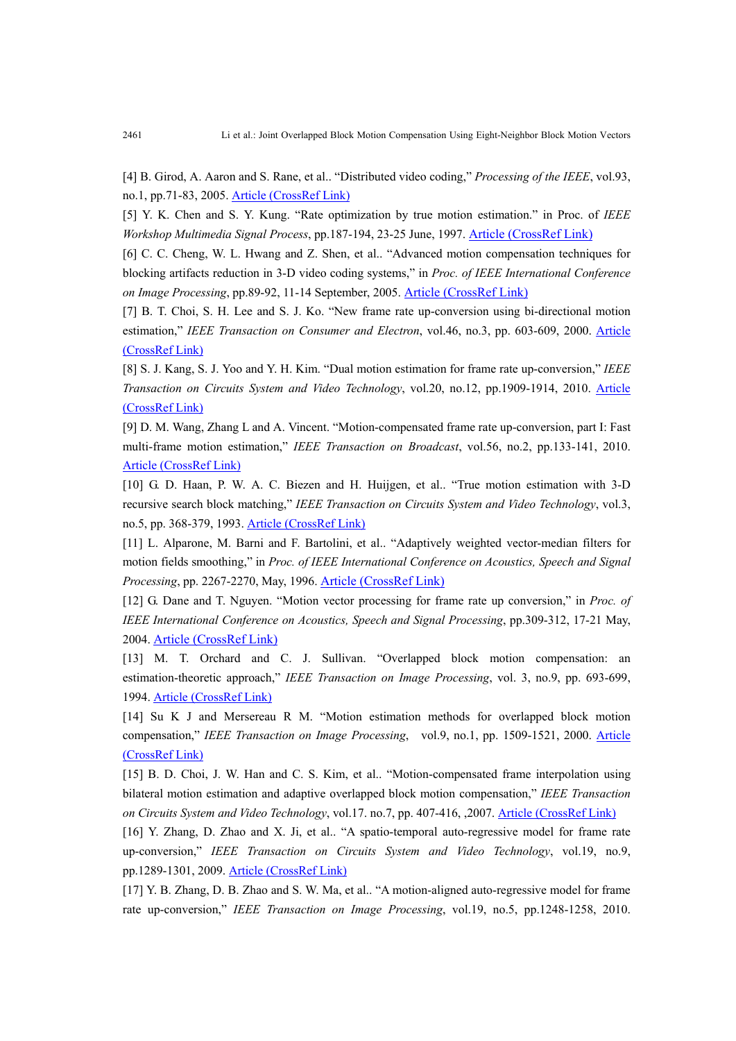[4] B. Girod, A. Aaron and S. Rane, et al.. "Distributed video coding," *Processing of the IEEE*, vol.93, no.1, pp.71-83, 2005. Article (CrossRef Link)

[5] Y. K. Chen and S. Y. Kung. "Rate optimization by true motion estimation." in Proc. of *IEEE Workshop Multimedia Signal Process*, pp.187-194, 23-25 June, 1997. Article (CrossRef Link)

[6] C. C. Cheng, W. L. Hwang and Z. Shen, et al.. "Advanced motion compensation techniques for blocking artifacts reduction in 3-D video coding systems," in *Proc. of IEEE International Conference on Image Processing*, pp.89-92, 11-14 September, 2005. Article (CrossRef Link)

[7] B. T. Choi, S. H. Lee and S. J. Ko. "New frame rate up-conversion using bi-directional motion estimation," *IEEE Transaction on Consumer and Electron*, vol.46, no.3, pp. 603-609, 2000. Article (CrossRef Link)

[8] S. J. Kang, S. J. Yoo and Y. H. Kim. "Dual motion estimation for frame rate up-conversion," *IEEE Transaction on Circuits System and Video Technology*, vol.20, no.12, pp.1909-1914, 2010. Article (CrossRef Link)

[9] D. M. Wang, Zhang L and A. Vincent. "Motion-compensated frame rate up-conversion, part I: Fast multi-frame motion estimation," *IEEE Transaction on Broadcast*, vol.56, no.2, pp.133-141, 2010. Article (CrossRef Link)

[10] G. D. Haan, P. W. A. C. Biezen and H. Huijgen, et al.. "True motion estimation with 3-D recursive search block matching," *IEEE Transaction on Circuits System and Video Technology*, vol.3, no.5, pp. 368-379, 1993. Article (CrossRef Link)

[11] L. Alparone, M. Barni and F. Bartolini, et al.. "Adaptively weighted vector-median filters for motion fields smoothing," in *Proc. of IEEE International Conference on Acoustics, Speech and Signal Processing*, pp. 2267-2270, May, 1996. Article (CrossRef Link)

[12] G. Dane and T. Nguyen. "Motion vector processing for frame rate up conversion," in *Proc. of IEEE International Conference on Acoustics, Speech and Signal Processing*, pp.309-312, 17-21 May, 2004. Article (CrossRef Link)

[13] M. T. Orchard and C. J. Sullivan. "Overlapped block motion compensation: an estimation-theoretic approach," *IEEE Transaction on Image Processing*, vol. 3, no.9, pp. 693-699, 1994. Article (CrossRef Link)

[14] Su K J and Mersereau R M. "Motion estimation methods for overlapped block motion compensation," *IEEE Transaction on Image Processing*, vol.9, no.1, pp. 1509-1521, 2000. Article (CrossRef Link)

[15] B. D. Choi, J. W. Han and C. S. Kim, et al.. "Motion-compensated frame interpolation using bilateral motion estimation and adaptive overlapped block motion compensation," *IEEE Transaction on Circuits System and Video Technology*, vol.17. no.7, pp. 407-416, ,2007. Article (CrossRef Link)

[16] Y. Zhang, D. Zhao and X. Ji, et al.. "A spatio-temporal auto-regressive model for frame rate up-conversion," *IEEE Transaction on Circuits System and Video Technology*, vol.19, no.9, pp.1289-1301, 2009. Article (CrossRef Link)

[17] Y. B. Zhang, D. B. Zhao and S. W. Ma, et al.. "A motion-aligned auto-regressive model for frame rate up-conversion," *IEEE Transaction on Image Processing*, vol.19, no.5, pp.1248-1258, 2010.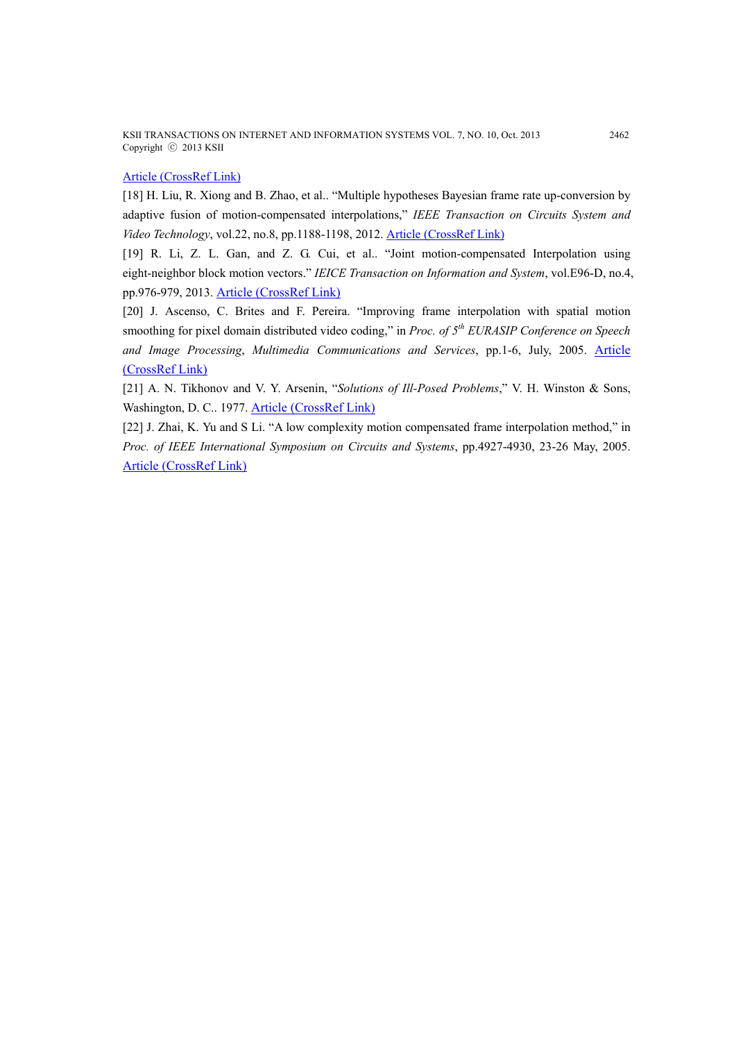KSII TRANSACTIONS ON INTERNET AND INFORMATION SYSTEMS VOL. 7, NO. 10, Oct. 2013 2462 Copyright ⓒ 2013 KSII

## Article (CrossRef Link)

[18] H. Liu, R. Xiong and B. Zhao, et al.. "Multiple hypotheses Bayesian frame rate up-conversion by adaptive fusion of motion-compensated interpolations," *IEEE Transaction on Circuits System and Video Technology*, vol.22, no.8, pp.1188-1198, 2012. Article (CrossRef Link)

[19] R. Li, Z. L. Gan, and Z. G. Cui, et al.. "Joint motion-compensated Interpolation using eight-neighbor block motion vectors." *IEICE Transaction on Information and System*, vol.E96-D, no.4, pp.976-979, 2013. Article (CrossRef Link)

[20] J. Ascenso, C. Brites and F. Pereira. "Improving frame interpolation with spatial motion smoothing for pixel domain distributed video coding," in *Proc. of 5th EURASIP Conference on Speech and Image Processing*, *Multimedia Communications and Services*, pp.1-6, July, 2005. Article (CrossRef Link)

[21] A. N. Tikhonov and V. Y. Arsenin, "*Solutions of Ill-Posed Problems*," V. H. Winston & Sons, Washington, D. C.. 1977. Article (CrossRef Link)

[22] J. Zhai, K. Yu and S Li. "A low complexity motion compensated frame interpolation method," in *Proc. of IEEE International Symposium on Circuits and Systems*, pp.4927-4930, 23-26 May, 2005. Article (CrossRef Link)